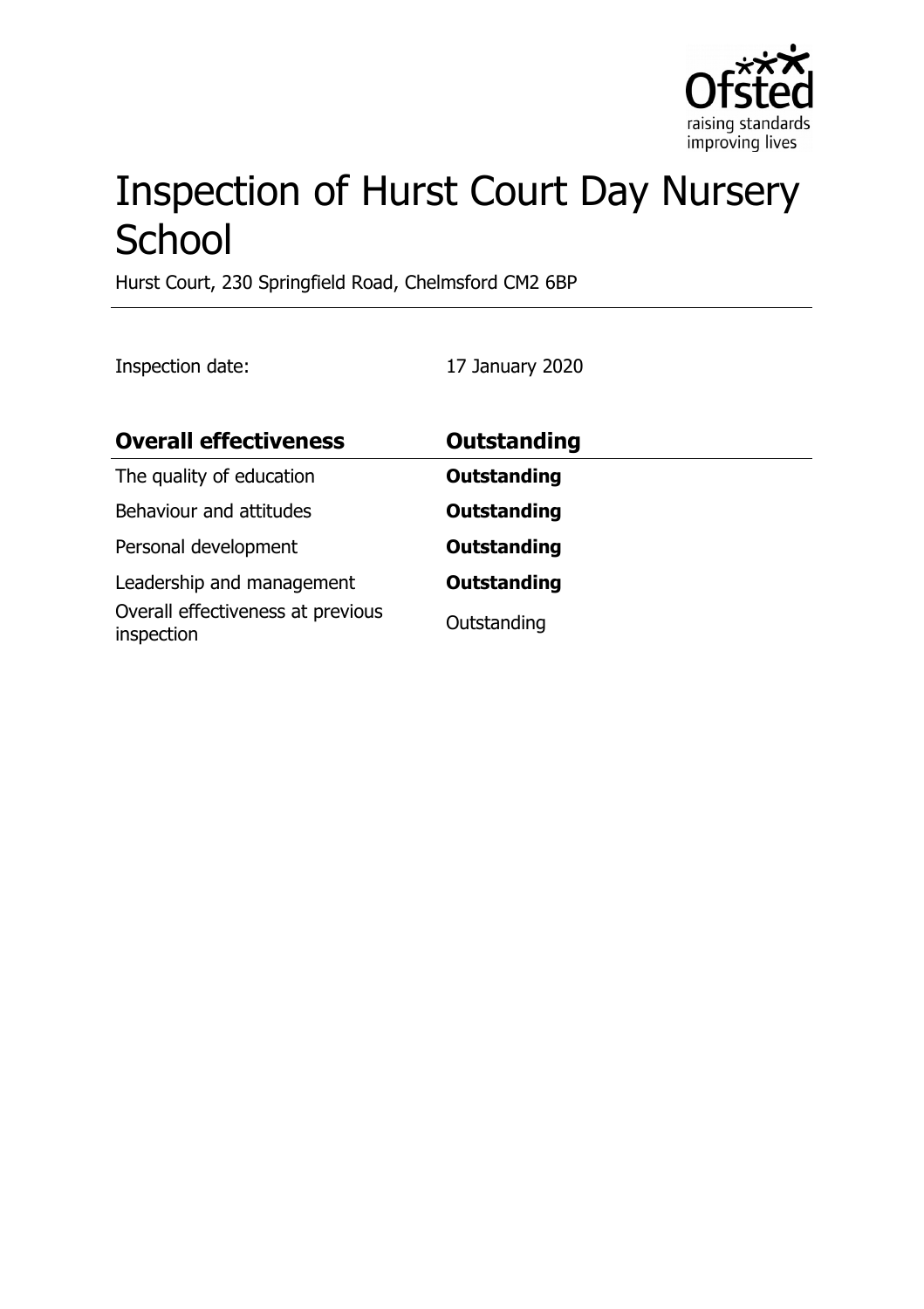

# Inspection of Hurst Court Day Nursery **School**

Hurst Court, 230 Springfield Road, Chelmsford CM2 6BP

Inspection date: 17 January 2020

| <b>Overall effectiveness</b>                                                 | Outstanding                       |
|------------------------------------------------------------------------------|-----------------------------------|
| The quality of education                                                     | <b>Outstanding</b>                |
| Behaviour and attitudes                                                      | <b>Outstanding</b>                |
| Personal development                                                         | <b>Outstanding</b>                |
| Leadership and management<br>Overall effectiveness at previous<br>inspection | <b>Outstanding</b><br>Outstanding |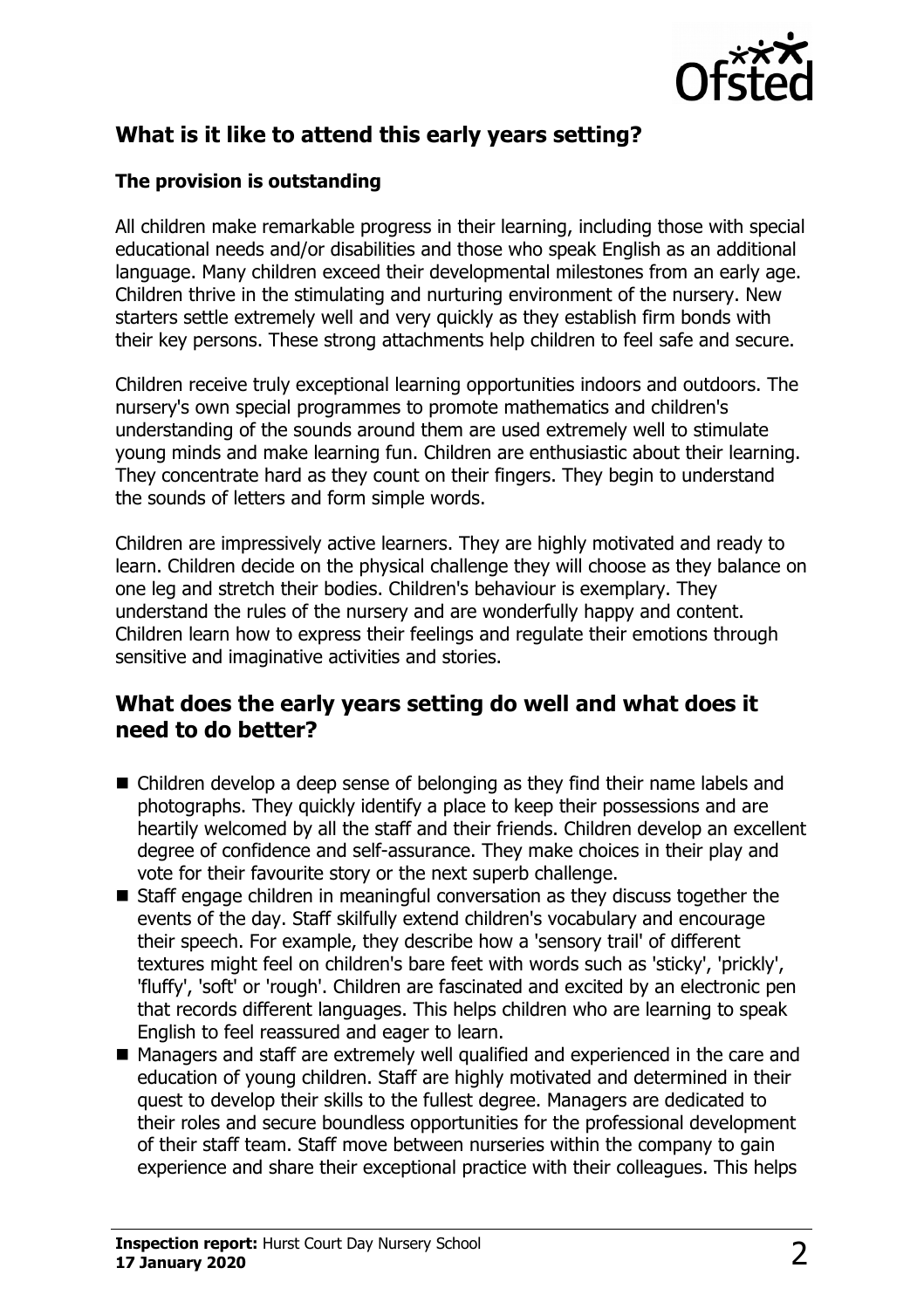

## **What is it like to attend this early years setting?**

#### **The provision is outstanding**

All children make remarkable progress in their learning, including those with special educational needs and/or disabilities and those who speak English as an additional language. Many children exceed their developmental milestones from an early age. Children thrive in the stimulating and nurturing environment of the nursery. New starters settle extremely well and very quickly as they establish firm bonds with their key persons. These strong attachments help children to feel safe and secure.

Children receive truly exceptional learning opportunities indoors and outdoors. The nursery's own special programmes to promote mathematics and children's understanding of the sounds around them are used extremely well to stimulate young minds and make learning fun. Children are enthusiastic about their learning. They concentrate hard as they count on their fingers. They begin to understand the sounds of letters and form simple words.

Children are impressively active learners. They are highly motivated and ready to learn. Children decide on the physical challenge they will choose as they balance on one leg and stretch their bodies. Children's behaviour is exemplary. They understand the rules of the nursery and are wonderfully happy and content. Children learn how to express their feelings and regulate their emotions through sensitive and imaginative activities and stories.

#### **What does the early years setting do well and what does it need to do better?**

- $\blacksquare$  Children develop a deep sense of belonging as they find their name labels and photographs. They quickly identify a place to keep their possessions and are heartily welcomed by all the staff and their friends. Children develop an excellent degree of confidence and self-assurance. They make choices in their play and vote for their favourite story or the next superb challenge.
- $\blacksquare$  Staff engage children in meaningful conversation as they discuss together the events of the day. Staff skilfully extend children's vocabulary and encourage their speech. For example, they describe how a 'sensory trail' of different textures might feel on children's bare feet with words such as 'sticky', 'prickly', 'fluffy', 'soft' or 'rough'. Children are fascinated and excited by an electronic pen that records different languages. This helps children who are learning to speak English to feel reassured and eager to learn.
- Managers and staff are extremely well qualified and experienced in the care and education of young children. Staff are highly motivated and determined in their quest to develop their skills to the fullest degree. Managers are dedicated to their roles and secure boundless opportunities for the professional development of their staff team. Staff move between nurseries within the company to gain experience and share their exceptional practice with their colleagues. This helps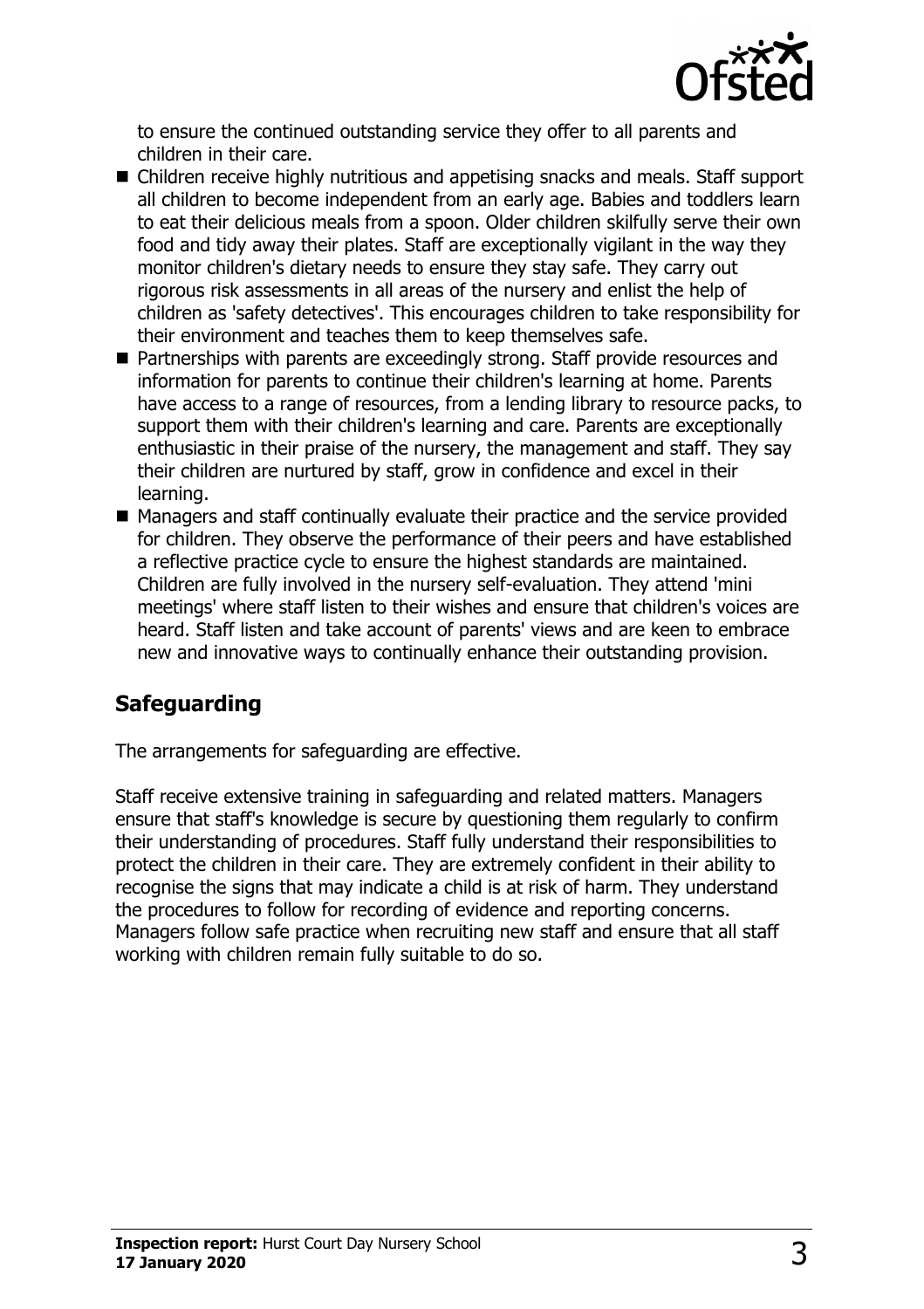

to ensure the continued outstanding service they offer to all parents and children in their care.

- Children receive highly nutritious and appetising snacks and meals. Staff support all children to become independent from an early age. Babies and toddlers learn to eat their delicious meals from a spoon. Older children skilfully serve their own food and tidy away their plates. Staff are exceptionally vigilant in the way they monitor children's dietary needs to ensure they stay safe. They carry out rigorous risk assessments in all areas of the nursery and enlist the help of children as 'safety detectives'. This encourages children to take responsibility for their environment and teaches them to keep themselves safe.
- Partnerships with parents are exceedingly strong. Staff provide resources and information for parents to continue their children's learning at home. Parents have access to a range of resources, from a lending library to resource packs, to support them with their children's learning and care. Parents are exceptionally enthusiastic in their praise of the nursery, the management and staff. They say their children are nurtured by staff, grow in confidence and excel in their learning.
- $\blacksquare$  Managers and staff continually evaluate their practice and the service provided for children. They observe the performance of their peers and have established a reflective practice cycle to ensure the highest standards are maintained. Children are fully involved in the nursery self-evaluation. They attend 'mini meetings' where staff listen to their wishes and ensure that children's voices are heard. Staff listen and take account of parents' views and are keen to embrace new and innovative ways to continually enhance their outstanding provision.

## **Safeguarding**

The arrangements for safeguarding are effective.

Staff receive extensive training in safeguarding and related matters. Managers ensure that staff's knowledge is secure by questioning them regularly to confirm their understanding of procedures. Staff fully understand their responsibilities to protect the children in their care. They are extremely confident in their ability to recognise the signs that may indicate a child is at risk of harm. They understand the procedures to follow for recording of evidence and reporting concerns. Managers follow safe practice when recruiting new staff and ensure that all staff working with children remain fully suitable to do so.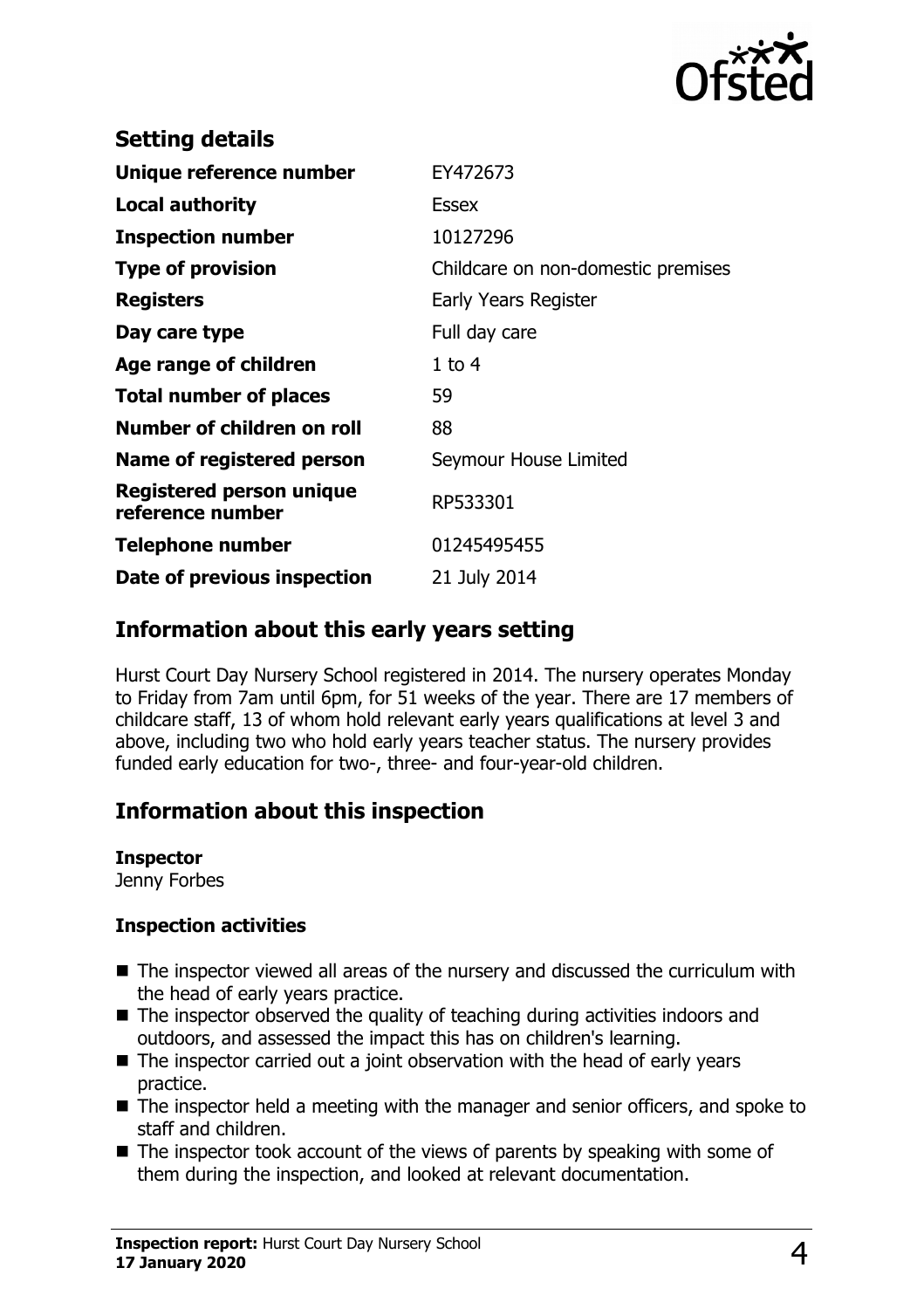

| <b>Setting details</b>                       |                                    |
|----------------------------------------------|------------------------------------|
| Unique reference number                      | EY472673                           |
| Local authority                              | <b>Essex</b>                       |
| <b>Inspection number</b>                     | 10127296                           |
| <b>Type of provision</b>                     | Childcare on non-domestic premises |
| <b>Registers</b>                             | Early Years Register               |
| Day care type                                | Full day care                      |
| Age range of children                        | $1$ to $4$                         |
| <b>Total number of places</b>                | 59                                 |
| Number of children on roll                   | 88                                 |
| Name of registered person                    | Seymour House Limited              |
| Registered person unique<br>reference number | RP533301                           |
| Telephone number                             | 01245495455                        |
| Date of previous inspection                  | 21 July 2014                       |
|                                              |                                    |

### **Information about this early years setting**

Hurst Court Day Nursery School registered in 2014. The nursery operates Monday to Friday from 7am until 6pm, for 51 weeks of the year. There are 17 members of childcare staff, 13 of whom hold relevant early years qualifications at level 3 and above, including two who hold early years teacher status. The nursery provides funded early education for two-, three- and four-year-old children.

## **Information about this inspection**

#### **Inspector**

Jenny Forbes

#### **Inspection activities**

- $\blacksquare$  The inspector viewed all areas of the nursery and discussed the curriculum with the head of early years practice.
- $\blacksquare$  The inspector observed the quality of teaching during activities indoors and outdoors, and assessed the impact this has on children's learning.
- $\blacksquare$  The inspector carried out a joint observation with the head of early years practice.
- $\blacksquare$  The inspector held a meeting with the manager and senior officers, and spoke to staff and children.
- $\blacksquare$  The inspector took account of the views of parents by speaking with some of them during the inspection, and looked at relevant documentation.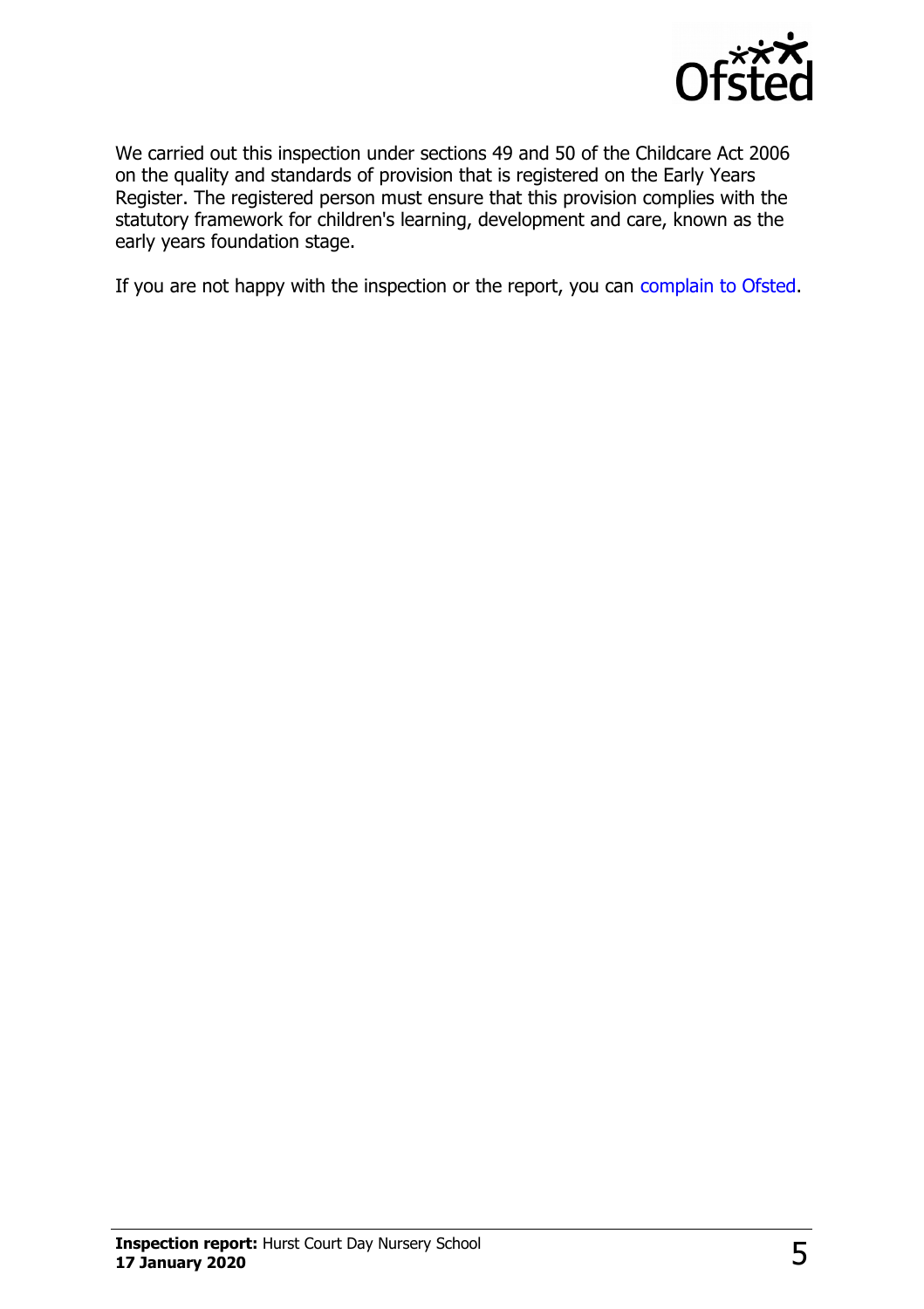

We carried out this inspection under sections 49 and 50 of the Childcare Act 2006 on the quality and standards of provision that is registered on the Early Years Register. The registered person must ensure that this provision complies with the statutory framework for children's learning, development and care, known as the early years foundation stage.

If you are not happy with the inspection or the report, you can [complain to Ofsted.](http://www.gov.uk/complain-ofsted-report)